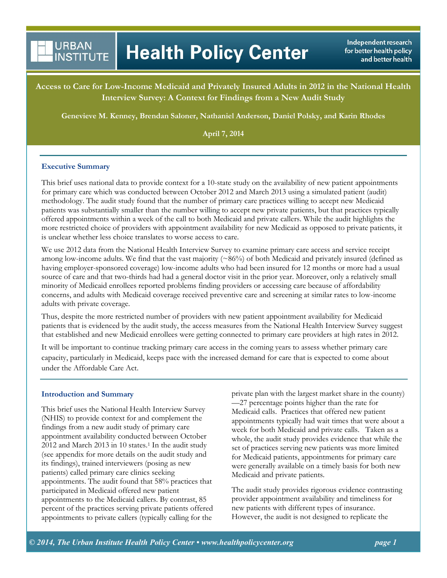**Health Policy Center** 

Independent research for better health policy and better health

**Access to Care for Low-Income Medicaid and Privately Insured Adults in 2012 in the National Health Interview Survey: A Context for Findings from a New Audit Study**

**Genevieve M. Kenney, Brendan Saloner, Nathaniel Anderson, Daniel Polsky, and Karin Rhodes**

**April 7, 2014**

### **Executive Summary**

**URBAN** 

**INSTITUTE** 

This brief uses national data to provide context for a 10-state study on the availability of new patient appointments for primary care which was conducted between October 2012 and March 2013 using a simulated patient (audit) methodology. The audit study found that the number of primary care practices willing to accept new Medicaid patients was substantially smaller than the number willing to accept new private patients, but that practices typically offered appointments within a week of the call to both Medicaid and private callers. While the audit highlights the more restricted choice of providers with appointment availability for new Medicaid as opposed to private patients, it is unclear whether less choice translates to worse access to care.

We use 2012 data from the National Health Interview Survey to examine primary care access and service receipt among low-income adults. We find that the vast majority (~86%) of both Medicaid and privately insured (defined as having employer-sponsored coverage) low-income adults who had been insured for 12 months or more had a usual source of care and that two-thirds had had a general doctor visit in the prior year. Moreover, only a relatively small minority of Medicaid enrollees reported problems finding providers or accessing care because of affordability concerns, and adults with Medicaid coverage received preventive care and screening at similar rates to low-income adults with private coverage.

Thus, despite the more restricted number of providers with new patient appointment availability for Medicaid patients that is evidenced by the audit study, the access measures from the National Health Interview Survey suggest that established and new Medicaid enrollees were getting connected to primary care providers at high rates in 2012.

It will be important to continue tracking primary care access in the coming years to assess whether primary care capacity, particularly in Medicaid, keeps pace with the increased demand for care that is expected to come about under the Affordable Care Act.

#### **Introduction and Summary**

This brief uses the National Health Interview Survey (NHIS) to provide context for and complement the findings from a new audit study of primary care appointment availability conducted between October 2012 and March 2013 in 10 states.<sup>1</sup> In the audit study (see appendix for more details on the audit study and its findings), trained interviewers (posing as new patients) called primary care clinics seeking appointments. The audit found that 58% practices that participated in Medicaid offered new patient appointments to the Medicaid callers. By contrast, 85 percent of the practices serving private patients offered appointments to private callers (typically calling for the

private plan with the largest market share in the county) —27 percentage points higher than the rate for Medicaid calls. Practices that offered new patient appointments typically had wait times that were about a week for both Medicaid and private calls. Taken as a whole, the audit study provides evidence that while the set of practices serving new patients was more limited for Medicaid patients, appointments for primary care were generally available on a timely basis for both new Medicaid and private patients.

The audit study provides rigorous evidence contrasting provider appointment availability and timeliness for new patients with different types of insurance. However, the audit is not designed to replicate the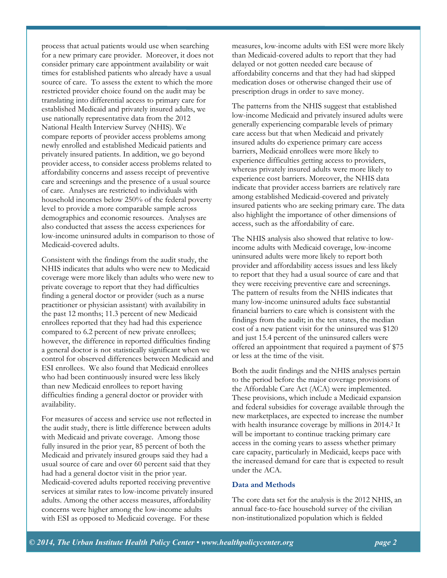process that actual patients would use when searching for a new primary care provider. Moreover, it does not consider primary care appointment availability or wait times for established patients who already have a usual source of care. To assess the extent to which the more restricted provider choice found on the audit may be translating into differential access to primary care for established Medicaid and privately insured adults, we use nationally representative data from the 2012 National Health Interview Survey (NHIS). We compare reports of provider access problems among newly enrolled and established Medicaid patients and privately insured patients. In addition, we go beyond provider access, to consider access problems related to affordability concerns and assess receipt of preventive care and screenings and the presence of a usual source of care. Analyses are restricted to individuals with household incomes below 250% of the federal poverty level to provide a more comparable sample across demographics and economic resources. Analyses are also conducted that assess the access experiences for low-income uninsured adults in comparison to those of Medicaid-covered adults.

Consistent with the findings from the audit study, the NHIS indicates that adults who were new to Medicaid coverage were more likely than adults who were new to private coverage to report that they had difficulties finding a general doctor or provider (such as a nurse practitioner or physician assistant) with availability in the past 12 months; 11.3 percent of new Medicaid enrollees reported that they had had this experience compared to 6.2 percent of new private enrollees; however, the difference in reported difficulties finding a general doctor is not statistically significant when we control for observed differences between Medicaid and ESI enrollees. We also found that Medicaid enrollees who had been continuously insured were less likely than new Medicaid enrollees to report having difficulties finding a general doctor or provider with availability.

For measures of access and service use not reflected in the audit study, there is little difference between adults with Medicaid and private coverage. Among those fully insured in the prior year, 85 percent of both the Medicaid and privately insured groups said they had a usual source of care and over 60 percent said that they had had a general doctor visit in the prior year. Medicaid-covered adults reported receiving preventive services at similar rates to low-income privately insured adults. Among the other access measures, affordability concerns were higher among the low-income adults with ESI as opposed to Medicaid coverage. For these

measures, low-income adults with ESI were more likely than Medicaid-covered adults to report that they had delayed or not gotten needed care because of affordability concerns and that they had had skipped medication doses or otherwise changed their use of prescription drugs in order to save money.

The patterns from the NHIS suggest that established low-income Medicaid and privately insured adults were generally experiencing comparable levels of primary care access but that when Medicaid and privately insured adults do experience primary care access barriers, Medicaid enrollees were more likely to experience difficulties getting access to providers, whereas privately insured adults were more likely to experience cost barriers. Moreover, the NHIS data indicate that provider access barriers are relatively rare among established Medicaid-covered and privately insured patients who are seeking primary care. The data also highlight the importance of other dimensions of access, such as the affordability of care.

The NHIS analysis also showed that relative to lowincome adults with Medicaid coverage, low-income uninsured adults were more likely to report both provider and affordability access issues and less likely to report that they had a usual source of care and that they were receiving preventive care and screenings. The pattern of results from the NHIS indicates that many low-income uninsured adults face substantial financial barriers to care which is consistent with the findings from the audit; in the ten states, the median cost of a new patient visit for the uninsured was \$120 and just 15.4 percent of the uninsured callers were offered an appointment that required a payment of \$75 or less at the time of the visit.

Both the audit findings and the NHIS analyses pertain to the period before the major coverage provisions of the Affordable Care Act (ACA) were implemented. These provisions, which include a Medicaid expansion and federal subsidies for coverage available through the new marketplaces, are expected to increase the number with health insurance coverage by millions in 2014.<sup>2</sup> It will be important to continue tracking primary care access in the coming years to assess whether primary care capacity, particularly in Medicaid, keeps pace with the increased demand for care that is expected to result under the ACA.

### **Data and Methods**

The core data set for the analysis is the 2012 NHIS, an annual face-to-face household survey of the civilian non-institutionalized population which is fielded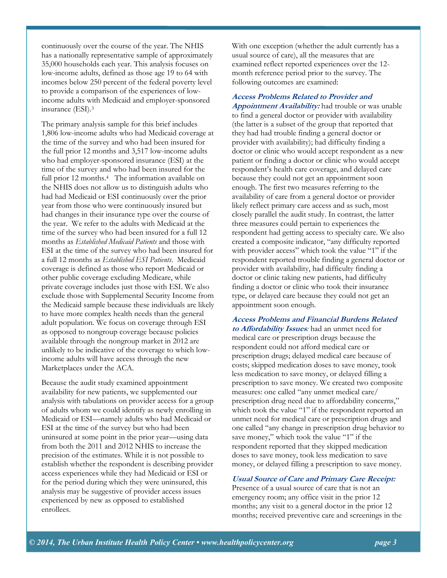continuously over the course of the year. The NHIS has a nationally representative sample of approximately 35,000 households each year. This analysis focuses on low-income adults, defined as those age 19 to 64 with incomes below 250 percent of the federal poverty level to provide a comparison of the experiences of lowincome adults with Medicaid and employer-sponsored insurance (ESI).<sup>3</sup>

The primary analysis sample for this brief includes 1,806 low-income adults who had Medicaid coverage at the time of the survey and who had been insured for the full prior 12 months and 3,517 low-income adults who had employer-sponsored insurance (ESI) at the time of the survey and who had been insured for the full prior 12 months.<sup>4</sup> The information available on the NHIS does not allow us to distinguish adults who had had Medicaid or ESI continuously over the prior year from those who were continuously insured but had changes in their insurance type over the course of the year. We refer to the adults with Medicaid at the time of the survey who had been insured for a full 12 months as *Established Medicaid Patients* and those with ESI at the time of the survey who had been insured for a full 12 months as *Established ESI Patients*. Medicaid coverage is defined as those who report Medicaid or other public coverage excluding Medicare, while private coverage includes just those with ESI. We also exclude those with Supplemental Security Income from the Medicaid sample because these individuals are likely to have more complex health needs than the general adult population. We focus on coverage through ESI as opposed to nongroup coverage because policies available through the nongroup market in 2012 are unlikely to be indicative of the coverage to which lowincome adults will have access through the new Marketplaces under the ACA.

Because the audit study examined appointment availability for new patients, we supplemented our analysis with tabulations on provider access for a group of adults whom we could identify as newly enrolling in Medicaid or ESI—namely adults who had Medicaid or ESI at the time of the survey but who had been uninsured at some point in the prior year—using data from both the 2011 and 2012 NHIS to increase the precision of the estimates. While it is not possible to establish whether the respondent is describing provider access experiences while they had Medicaid or ESI or for the period during which they were uninsured, this analysis may be suggestive of provider access issues experienced by new as opposed to established enrollees.

With one exception (whether the adult currently has a usual source of care), all the measures that are examined reflect reported experiences over the 12 month reference period prior to the survey. The following outcomes are examined:

**Access Problems Related to Provider and** 

**Appointment Availability:** had trouble or was unable to find a general doctor or provider with availability (the latter is a subset of the group that reported that they had had trouble finding a general doctor or provider with availability); had difficulty finding a doctor or clinic who would accept respondent as a new patient or finding a doctor or clinic who would accept respondent's health care coverage, and delayed care because they could not get an appointment soon enough. The first two measures referring to the availability of care from a general doctor or provider likely reflect primary care access and as such, most closely parallel the audit study. In contrast, the latter three measures could pertain to experiences the respondent had getting access to specialty care. We also created a composite indicator, "any difficulty reported with provider access" which took the value "1" if the respondent reported trouble finding a general doctor or provider with availability, had difficulty finding a doctor or clinic taking new patients, had difficulty finding a doctor or clinic who took their insurance type, or delayed care because they could not get an appointment soon enough.

**Access Problems and Financial Burdens Related to Affordability Issues***:* had an unmet need for medical care or prescription drugs because the respondent could not afford medical care or prescription drugs; delayed medical care because of costs; skipped medication doses to save money, took less medication to save money, or delayed filling a prescription to save money. We created two composite measures: one called "any unmet medical care/ prescription drug need due to affordability concerns," which took the value "1" if the respondent reported an unmet need for medical care or prescription drugs and one called "any change in prescription drug behavior to save money," which took the value "1" if the respondent reported that they skipped medication doses to save money, took less medication to save money, or delayed filling a prescription to save money.

### **Usual Source of Care and Primary Care Receipt:**

Presence of a usual source of care that is not an emergency room; any office visit in the prior 12 months; any visit to a general doctor in the prior 12 months; received preventive care and screenings in the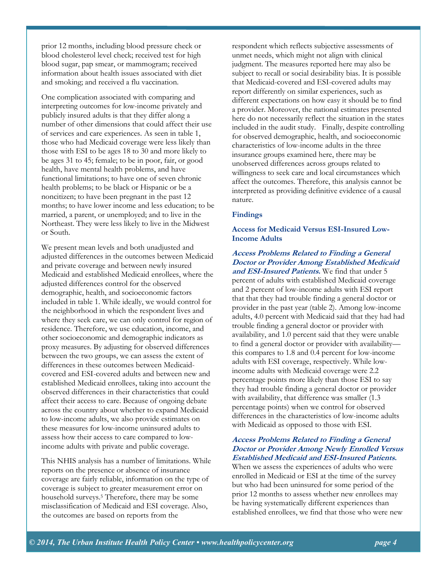prior 12 months, including blood pressure check or blood cholesterol level check; received test for high blood sugar, pap smear, or mammogram; received information about health issues associated with diet and smoking; and received a flu vaccination.

One complication associated with comparing and interpreting outcomes for low-income privately and publicly insured adults is that they differ along a number of other dimensions that could affect their use of services and care experiences. As seen in table 1, those who had Medicaid coverage were less likely than those with ESI to be ages 18 to 30 and more likely to be ages 31 to 45; female; to be in poor, fair, or good health, have mental health problems, and have functional limitations; to have one of seven chronic health problems; to be black or Hispanic or be a noncitizen; to have been pregnant in the past 12 months; to have lower income and less education; to be married, a parent, or unemployed; and to live in the Northeast. They were less likely to live in the Midwest or South.

We present mean levels and both unadjusted and adjusted differences in the outcomes between Medicaid and private coverage and between newly insured Medicaid and established Medicaid enrollees, where the adjusted differences control for the observed demographic, health, and socioeconomic factors included in table 1. While ideally, we would control for the neighborhood in which the respondent lives and where they seek care, we can only control for region of residence. Therefore, we use education, income, and other socioeconomic and demographic indicators as proxy measures. By adjusting for observed differences between the two groups, we can assess the extent of differences in these outcomes between Medicaidcovered and ESI-covered adults and between new and established Medicaid enrollees, taking into account the observed differences in their characteristics that could affect their access to care. Because of ongoing debate across the country about whether to expand Medicaid to low-income adults, we also provide estimates on these measures for low-income uninsured adults to assess how their access to care compared to lowincome adults with private and public coverage.

This NHIS analysis has a number of limitations. While reports on the presence or absence of insurance coverage are fairly reliable, information on the type of coverage is subject to greater measurement error on household surveys.<sup>5</sup> Therefore, there may be some misclassification of Medicaid and ESI coverage. Also, the outcomes are based on reports from the

respondent which reflects subjective assessments of unmet needs, which might not align with clinical judgment. The measures reported here may also be subject to recall or social desirability bias. It is possible that Medicaid-covered and ESI-covered adults may report differently on similar experiences, such as different expectations on how easy it should be to find a provider. Moreover, the national estimates presented here do not necessarily reflect the situation in the states included in the audit study. Finally, despite controlling for observed demographic, health, and socioeconomic characteristics of low-income adults in the three insurance groups examined here, there may be unobserved differences across groups related to willingness to seek care and local circumstances which affect the outcomes. Therefore, this analysis cannot be interpreted as providing definitive evidence of a causal nature.

### **Findings**

# **Access for Medicaid Versus ESI-Insured Low-Income Adults**

**Access Problems Related to Finding a General Doctor or Provider Among Established Medicaid and ESI-Insured Patients.** We find that under 5 percent of adults with established Medicaid coverage and 2 percent of low-income adults with ESI report that that they had trouble finding a general doctor or provider in the past year (table 2). Among low-income adults, 4.0 percent with Medicaid said that they had had trouble finding a general doctor or provider with availability, and 1.0 percent said that they were unable to find a general doctor or provider with availability this compares to 1.8 and 0.4 percent for low-income adults with ESI coverage, respectively. While lowincome adults with Medicaid coverage were 2.2 percentage points more likely than those ESI to say they had trouble finding a general doctor or provider with availability, that difference was smaller (1.3 percentage points) when we control for observed differences in the characteristics of low-income adults with Medicaid as opposed to those with ESI.

### **Access Problems Related to Finding a General Doctor or Provider Among Newly Enrolled Versus Established Medicaid and ESI-Insured Patients.**

When we assess the experiences of adults who were enrolled in Medicaid or ESI at the time of the survey but who had been uninsured for some period of the prior 12 months to assess whether new enrollees may be having systematically different experiences than established enrollees, we find that those who were new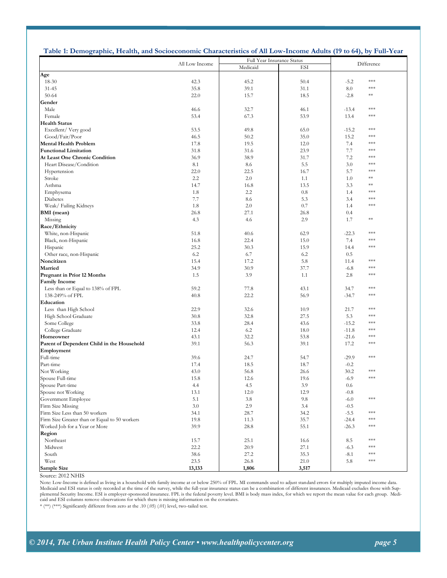| Table 1: Demographic, Health, and Socioeconomic Characteristics of All Low-Income Adults (19 to 64), by Full-Year |                |                                        |       |                   |  |
|-------------------------------------------------------------------------------------------------------------------|----------------|----------------------------------------|-------|-------------------|--|
|                                                                                                                   | All Low Income | Full Year Insurance Status<br>Medicaid |       | Difference        |  |
| Age                                                                                                               |                |                                        | ESI   |                   |  |
| 18-30                                                                                                             | 42.3           | 45.2                                   | 50.4  | ***<br>$-5.2$     |  |
| $31 - 45$                                                                                                         | 35.8           | 39.1                                   | 31.1  | $***$<br>8.0      |  |
| $50 - 64$                                                                                                         | 22.0           | 15.7                                   | 18.5  | $-2.8$<br>$**$    |  |
|                                                                                                                   |                |                                        |       |                   |  |
| Gender                                                                                                            |                |                                        |       | $***$             |  |
| Male                                                                                                              | 46.6           | 32.7                                   | 46.1  | $-13.4$<br>$***$  |  |
| Female                                                                                                            | 53.4           | 67.3                                   | 53.9  | 13.4              |  |
| <b>Health Status</b>                                                                                              |                |                                        |       | ***               |  |
| Excellent/Very good                                                                                               | 53.5           | 49.8                                   | 65.0  | $-15.2$           |  |
| Good/Fair/Poor                                                                                                    | 46.5           | 50.2                                   | 35.0  | 15.2<br>$***$     |  |
| <b>Mental Health Problem</b>                                                                                      | 17.8           | 19.5                                   | 12.0  | 7.4<br>$***$      |  |
| <b>Functional Limitation</b>                                                                                      | 31.8           | 31.6                                   | 23.9  | 7.7<br>$***$      |  |
| At Least One Chronic Condition                                                                                    | 36.9           | 38.9                                   | 31.7  | 7.2<br>$***$      |  |
| Heart Disease/Condition                                                                                           | 8.1            | 8.6                                    | 5.5   | 3.0<br>$***$      |  |
| Hypertension                                                                                                      | 22.0           | 22.5                                   | 16.7  | 5.7<br>***        |  |
| Stroke                                                                                                            | 2.2            | 2.0                                    | 1.1   | 1.0<br>$**$       |  |
| Asthma                                                                                                            | 14.7           | 16.8                                   | 13.5  | 3.3<br>$**$       |  |
| Emphysema                                                                                                         | 1.8            | 2.2                                    | 0.8   | $***$<br>1.4      |  |
| <b>Diabetes</b>                                                                                                   | 7.7            | 8.6                                    | 5.3   | 3.4<br>$***$      |  |
| Weak/Failing Kidneys                                                                                              | 1.8            | 2.0                                    | 0.7   | 1.4<br>$***$      |  |
| <b>BMI</b> (mean)                                                                                                 | 26.8           | 27.1                                   | 26.8  | 0.4               |  |
| Missing                                                                                                           | 4.3            | 4.6                                    | 2.9   | 1.7<br>$\ast\ast$ |  |
| Race/Ethnicity                                                                                                    |                |                                        |       |                   |  |
| White, non-Hispanic                                                                                               | 51.8           | 40.6                                   | 62.9  | $-22.3$<br>$***$  |  |
|                                                                                                                   | 16.8           | 22.4                                   | 15.0  | $***$<br>7.4      |  |
| Black, non-Hispanic                                                                                               |                |                                        |       | $***$             |  |
| Hispanic                                                                                                          | 25.2           | 30.3                                   | 15.9  | 14.4              |  |
| Other race, non-Hispanic                                                                                          | 6.2            | 6.7                                    | 6.2   | 0.5               |  |
| Noncitizen                                                                                                        | 15.4           | 17.2                                   | 5.8   | $***$<br>11.4     |  |
| Married                                                                                                           | 34.9           | 30.9                                   | 37.7  | $-6.8$<br>$***$   |  |
| Pregnant in Prior 12 Months                                                                                       | 1.5            | 3.9                                    | 1.1   | $***$<br>2.8      |  |
| <b>Family Income</b>                                                                                              |                |                                        |       |                   |  |
| Less than or Equal to 138% of FPL                                                                                 | 59.2           | 77.8                                   | 43.1  | $***$<br>34.7     |  |
| 138-249% of FPL                                                                                                   | 40.8           | 22.2                                   | 56.9  | $-34.7$<br>$***$  |  |
| Education                                                                                                         |                |                                        |       |                   |  |
| Less than High School                                                                                             | 22.9           | 32.6                                   | 10.9  | ***<br>21.7       |  |
| High School Graduate                                                                                              | 30.8           | 32.8                                   | 27.5  | 5.3<br>$***$      |  |
| Some College                                                                                                      | 33.8           | 28.4                                   | 43.6  | $-15.2$<br>$***$  |  |
| College Graduate                                                                                                  | 12.4           | 6.2                                    | 18.0  | $***$<br>$-11.8$  |  |
| Homeowner                                                                                                         | 43.1           | 32.2                                   | 53.8  | $-21.6$<br>$***$  |  |
| Parent of Dependent Child in the Household                                                                        | 39.1           | 56.3                                   | 39.1  | 17.2<br>$***$     |  |
| Employment                                                                                                        |                |                                        |       |                   |  |
| Full-time                                                                                                         | 39.6           | 24.7                                   | 54.7  | $***$<br>$-29.9$  |  |
| Part-time                                                                                                         | 17.4           | 18.5                                   | 18.7  | $-0.2$            |  |
| Not Working                                                                                                       | 43.0           | 56.8                                   | 26.6  | ***<br>30.2       |  |
| Spouse Full-time                                                                                                  | 15.8           | 12.6                                   | 19.6  | $***$<br>$-6.9$   |  |
| Spouse Part-time                                                                                                  | 4.4            | 4.5                                    | 3.9   | 0.6               |  |
| Spouse not Working                                                                                                | 13.1           | 12.0                                   | 12.9  | $-0.8$            |  |
|                                                                                                                   |                |                                        |       | $***$             |  |
| Government Employee                                                                                               | 5.1            | 3.8                                    | 9.8   | $-6.0$            |  |
| Firm Size Missing                                                                                                 | 3.0            | 2.9                                    | 3.4   | $-0.5$<br>$***$   |  |
| Firm Size Less than 50 workers                                                                                    | 34.1           | 28.7                                   | 34.2  | $-5.5$            |  |
| Firm Size Greater than or Equal to 50 workers                                                                     | 19.8           | 11.3                                   | 35.7  | $***$<br>$-24.4$  |  |
| Worked Job for a Year or More                                                                                     | 39.9           | 28.8                                   | 55.1  | $***$<br>$-26.3$  |  |
| Region                                                                                                            |                |                                        |       |                   |  |
| Northeast                                                                                                         | 15.7           | 25.1                                   | 16.6  | 8.5<br>$***$      |  |
| Midwest                                                                                                           | 22.2           | 20.9                                   | 27.1  | ***<br>$-6.3$     |  |
| South                                                                                                             | 38.6           | 27.2                                   | 35.3  | $***$<br>$-8.1$   |  |
| West                                                                                                              | 23.5           | 26.8                                   | 21.0  | $***$<br>5.8      |  |
| Sample Size                                                                                                       | 13,133         | 1,806                                  | 3,517 |                   |  |

Source: 2012 NHIS

Note: Low-Income is defined as living in a household with family income at or below 250% of FPL. MI commands used to adjust standard errors for multiply imputed income data. Medicaid and ESI status is only recorded at the time of the survey, while the full-year insurance status can be a combination of different insurances. Medicaid excludes those with Supplemental Security Income. ESI is emplo caid and ESI columns remove observations for which there is missing information on the covariates.

 $*$  (\*\*) (\*\*\*) Significantly different from zero at the .10 (.05) (.01) level, two-tailed test.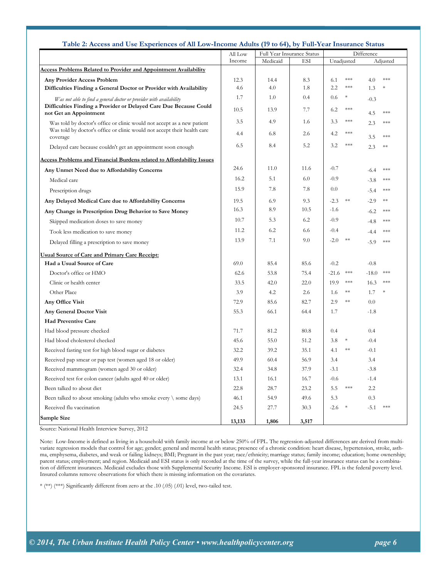#### **Table 2: Access and Use Experiences of All Low-Income Adults (19 to 64), by Full-Year Insurance Status**

|                                                                                             | All Low | <b>Full Year Insurance Status</b> |       | Difference |        |         |          |
|---------------------------------------------------------------------------------------------|---------|-----------------------------------|-------|------------|--------|---------|----------|
|                                                                                             | Income  | Medicaid                          | ESI   | Unadjusted |        |         | Adjusted |
| <b>Access Problems Related to Provider and Appointment Availability</b>                     |         |                                   |       |            |        |         |          |
| Any Provider Access Problem                                                                 | 12.3    | 14.4                              | 8.3   | 6.1        | ***    | 4.0     | ***      |
| Difficulties Finding a General Doctor or Provider with Availability                         | 4.6     | 4.0                               | 1.8   | 2.2        | ***    | 1.3     | ∗        |
| Was not able to find a general doctor or provider with availability                         | 1.7     | 1.0                               | 0.4   | 0.6        | $\ast$ | $-0.3$  |          |
| Difficulties Finding a Provider or Delayed Care Due Because Could<br>not Get an Appointment | 10.5    | 13.9                              | 7.7   | 6.2        | ***    | 4.5     | ***      |
| Was told by doctor's office or clinic would not accept as a new patient                     | 3.5     | 4.9                               | 1.6   | 3.3        | $***$  | 2.3     | ***      |
| Was told by doctor's office or clinic would not accept their health care<br>coverage        | 4.4     | 6.8                               | 2.6   | 4.2        | ***    | 3.5     | ***      |
| Delayed care because couldn't get an appointment soon enough                                | 6.5     | 8.4                               | 5.2   | 3.2        | ***    | 2.3     | $**$     |
| <b>Access Problems and Financial Burdens related to Affordability Issues</b>                |         |                                   |       |            |        |         |          |
| Any Unmet Need due to Affordability Concerns                                                | 24.6    | 11.0                              | 11.6  | $-0.7$     |        | -6.4    | ***      |
| Medical care                                                                                | 16.2    | 5.1                               | 6.0   | $-0.9$     |        | $-3.8$  | ***      |
| Prescription drugs                                                                          | 15.9    | 7.8                               | 7.8   | 0.0        |        | -5.4    | ***      |
| Any Delayed Medical Care due to Affordability Concerns                                      | 19.5    | 6.9                               | 9.3   | $-2.3$     | **     | $-2.9$  | $**$     |
| Any Change in Prescription Drug Behavior to Save Money                                      | 16.3    | 8.9                               | 10.5  | $-1.6$     |        | $-6.2$  | ***      |
| Skipped medication doses to save money                                                      | 10.7    | 5.3                               | 6.2   | $-0.9$     |        | $-4.8$  | ***      |
| Took less medication to save money                                                          | 11.2    | 6.2                               | 6.6   | $-0.4$     |        | -4.4    | ***      |
| Delayed filling a prescription to save money                                                | 13.9    | 7.1                               | 9.0   | $-2.0$     | $**$   | $-5.9$  | ***      |
| <b>Usual Source of Care and Primary Care Receipt:</b>                                       |         |                                   |       |            |        |         |          |
| Had a Usual Source of Care                                                                  | 69.0    | 85.4                              | 85.6  | $-0.2$     |        | $-0.8$  |          |
| Doctor's office or HMO                                                                      | 62.6    | 53.8                              | 75.4  | $-21.6$    | $***$  | $-18.0$ | $***$    |
| Clinic or health center                                                                     | 33.5    | 42.0                              | 22.0  | 19.9       | $***$  | 16.3    | $***$    |
| Other Place                                                                                 | 3.9     | 4.2                               | 2.6   | 1.6        | $**$   | 1.7     | $\ast$   |
| Any Office Visit                                                                            | 72.9    | 85.6                              | 82.7  | 2.9        | **     | 0.0     |          |
| Any General Doctor Visit                                                                    | 55.3    | 66.1                              | 64.4  | 1.7        |        | $-1.8$  |          |
| <b>Had Preventive Care</b>                                                                  |         |                                   |       |            |        |         |          |
| Had blood pressure checked                                                                  | 71.7    | 81.2                              | 80.8  | 0.4        |        | 0.4     |          |
| Had blood cholesterol checked                                                               | 45.6    | 55.0                              | 51.2  | 3.8        | $\ast$ | $-0.4$  |          |
| Received fasting test for high blood sugar or diabetes                                      | 32.2    | 39.2                              | 35.1  | 4.1        | **     | $-0.1$  |          |
| Received pap smear or pap test (women aged 18 or older)                                     | 49.9    | 60.4                              | 56.9  | 3.4        |        | 3.4     |          |
| Received mammogram (women aged 30 or older)                                                 | 32.4    | 34.8                              | 37.9  | $-3.1$     |        | $-3.8$  |          |
| Received test for colon cancer (adults aged 40 or older)                                    | 13.1    | 16.1                              | 16.7  | $-0.6$     |        | $-1.4$  |          |
| Been talked to about diet                                                                   | 22.8    | 28.7                              | 23.2  | 5.5        | ***    | 2.2     |          |
| Been talked to about smoking (adults who smoke every $\setminus$ some days)                 | 46.1    | 54.9                              | 49.6  | 5.3        |        | 0.3     |          |
| Received flu vaccination                                                                    | 24.5    | 27.7                              | 30.3  | $-2.6$     | $\ast$ | $-5.1$  | ***      |
| Sample Size                                                                                 | 13,133  | 1,806                             | 3,517 |            |        |         |          |

Source: National Health Interview Survey, 2012

Note: Low-Income is defined as living in a household with family income at or below 250% of FPL. The regression-adjusted differences are derived from multivariate regression models that control for age; gender; general and mental health status; presence of a chronic condition: heart disease, hypertension, stroke, asthma, emphysema, diabetes, and weak or failing kidneys; BMI; Pregnant in the past year; race/ethnicity; marriage status; family income; education; home ownership; parent status; employment; and region. Medicaid and ESI status is only recorded at the time of the survey, while the full-year insurance status can be a combination of different insurances. Medicaid excludes those with Supplemental Security Income. ESI is employer-sponsored insurance. FPL is the federal poverty level. Insured columns remove observations for which there is missing information on the covariates.

\* (\*\*) (\*\*\*) Significantly different from zero at the .10 (.05) (.01) level, two-tailed test.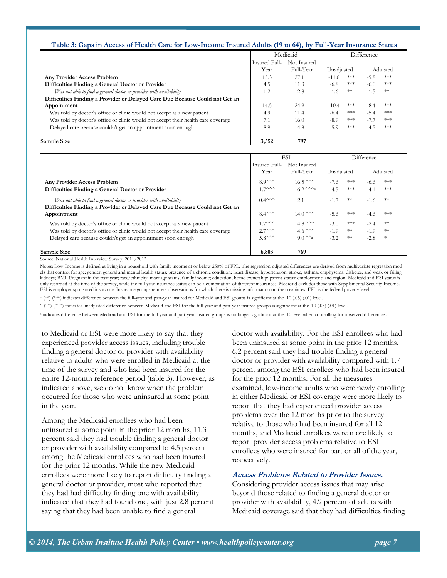#### **Table 3: Gaps in Access of Health Care for Low-Income Insured Adults (19 to 64), by Full-Year Insurance Status**

|                                                                                   | Medicaid      |             |                        |       | Difference |     |  |
|-----------------------------------------------------------------------------------|---------------|-------------|------------------------|-------|------------|-----|--|
|                                                                                   | Insured Full- | Not Insured |                        |       |            |     |  |
|                                                                                   | Year          | Full-Year   | Unadjusted<br>Adiusted |       |            |     |  |
| Any Provider Access Problem                                                       | 15.3          | 27.1        | $-11.8$                | ***   | $-9.8$     | *** |  |
| Difficulties Finding a General Doctor or Provider                                 | 4.5           | 11.3        | $-6.8$                 | $***$ | $-6.0$     | *** |  |
| Was not able to find a general doctor or provider with availability               | 1.2           | 2.8         | $-1.6$                 | **    | $-1.5$     | **  |  |
| Difficulties Finding a Provider or Delayed Care Due Because Could not Get an      |               |             |                        |       |            |     |  |
| Appointment                                                                       | 14.5          | 24.9        | $-10.4$                | ***   | $-8.4$     | *** |  |
| Was told by doctor's office or clinic would not accept as a new patient           | 4.9           | 11.4        | $-6.4$                 | ***   | $-5.4$     | *** |  |
| Was told by doctor's office or clinic would not accept their health care coverage | 7.1           | 16.0        | $-8.9$                 | ***   | $-7.7$     | *** |  |
| Delayed care because couldn't get an appointment soon enough                      | 8.9           | 14.8        | $-5.9$                 | ***   | $-4.5$     | *** |  |
|                                                                                   |               |             |                        |       |            |     |  |
| Sample Size                                                                       | 3,552         | 797         |                        |       |            |     |  |

|                                                                                                                                                                                                                              | ESI                                                                                    | Difference                                        |                            |                     |                            |                    |
|------------------------------------------------------------------------------------------------------------------------------------------------------------------------------------------------------------------------------|----------------------------------------------------------------------------------------|---------------------------------------------------|----------------------------|---------------------|----------------------------|--------------------|
|                                                                                                                                                                                                                              | Insured Full-<br>Year                                                                  | Not Insured<br>Full-Year                          | Unadjusted                 |                     |                            | Adjusted           |
| Any Provider Access Problem<br>Difficulties Finding a General Doctor or Provider                                                                                                                                             | $8.9^{\wedge\wedge\wedge}$<br>$1.7^{\wedge\wedge\wedge}$                               | $16.5^{\sim}\$<br>$6.2^{\wedge\wedge\wedge_{a}}$  | $-7.6$<br>$-4.5$           | ***<br>***          | $-6.6$<br>$-4.1$           | ***<br>***         |
| Was not able to find a general doctor or provider with availability<br>Difficulties Finding a Provider or Delayed Care Due Because Could not Get an<br>Appointment                                                           | $0.4^{\wedge\wedge\wedge}$<br>$8.4^{\wedge\wedge\wedge}$                               | 2.1<br>14.0 $\sim$                                | $-1.7$<br>$-5.6$           | **<br>***           | $-1.6$<br>$-4.6$           | **<br>***          |
| Was told by doctor's office or clinic would not accept as a new patient<br>Was told by doctor's office or clinic would not accept their health care coverage<br>Delayed care because couldn't get an appointment soon enough | $1.7^{\wedge\wedge\wedge}$<br>$2.7^{\wedge\wedge\wedge}$<br>$5.8^{\wedge\wedge\wedge}$ | 4.8 $\sim$<br>$4.6 \lambda$<br>$9.0^{\wedge_{a}}$ | $-3.0$<br>$-1.9$<br>$-3.2$ | ***<br>$**$<br>$**$ | $-2.4$<br>$-1.9$<br>$-2.8$ | **<br>**<br>$\ast$ |
| Sample Size                                                                                                                                                                                                                  | 6,803                                                                                  | 769                                               |                            |                     |                            |                    |

Source: National Health Interview Survey, 2011/2012

Notes: Low-Income is defined as living in a household with family income at or below 250% of FPL. The regression-adjusted differences are derived from multivariate regression models that control for age; gender; general and mental health status; presence of a chronic condition: heart disease, hypertension, stroke, asthma, emphysema, diabetes, and weak or failing kidneys; BMI; Pregnant in the past year; race/ethnicity; marriage status; family income; education; home ownership; parent status; employment; and region. Medicaid and ESI status is only recorded at the time of the survey, while the full-year insurance status can be a combination of different insurances. Medicaid excludes those with Supplemental Security Income. ESI is employer-sponsored insurance. Insurance groups remove observations for which there is missing information on the covariates. FPL is the federal poverty level.

\* (\*\*) (\*\*\*) indicates difference between the full-year and part-year insured for Medicaid and ESI groups is significant at the .10 (.05) (.01) level.

^ (^^) (^^^) indicates unadjusted difference between Medicaid and ESI for the full-year and part-year insured groups is significant at the .10 (.05) (.01) level.

a indicates difference between Medicaid and ESI for the full-year and part-year insured groups is no longer significant at the .10 level when controlling for observed differences.

to Medicaid or ESI were more likely to say that they experienced provider access issues, including trouble finding a general doctor or provider with availability relative to adults who were enrolled in Medicaid at the time of the survey and who had been insured for the entire 12-month reference period (table 3). However, as indicated above, we do not know when the problem occurred for those who were uninsured at some point in the year.

Among the Medicaid enrollees who had been uninsured at some point in the prior 12 months, 11.3 percent said they had trouble finding a general doctor or provider with availability compared to 4.5 percent among the Medicaid enrollees who had been insured for the prior 12 months. While the new Medicaid enrollees were more likely to report difficulty finding a general doctor or provider, most who reported that they had had difficulty finding one with availability indicated that they had found one, with just 2.8 percent saying that they had been unable to find a general

doctor with availability. For the ESI enrollees who had been uninsured at some point in the prior 12 months, 6.2 percent said they had trouble finding a general doctor or provider with availability compared with 1.7 percent among the ESI enrollees who had been insured for the prior 12 months. For all the measures examined, low-income adults who were newly enrolling in either Medicaid or ESI coverage were more likely to report that they had experienced provider access problems over the 12 months prior to the survey relative to those who had been insured for all 12 months, and Medicaid enrollees were more likely to report provider access problems relative to ESI enrollees who were insured for part or all of the year, respectively.

### **Access Problems Related to Provider Issues.**

Considering provider access issues that may arise beyond those related to finding a general doctor or provider with availability, 4.9 percent of adults with Medicaid coverage said that they had difficulties finding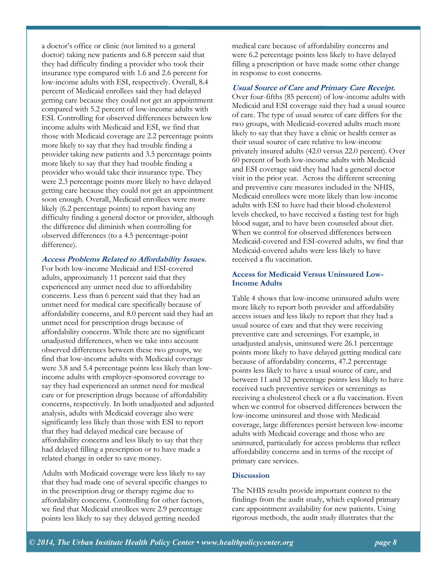a doctor's office or clinic (not limited to a general doctor) taking new patients and 6.8 percent said that they had difficulty finding a provider who took their insurance type compared with 1.6 and 2.6 percent for low-income adults with ESI, respectively. Overall, 8.4 percent of Medicaid enrollees said they had delayed getting care because they could not get an appointment compared with 5.2 percent of low-income adults with ESI. Controlling for observed differences between low income adults with Medicaid and ESI, we find that those with Medicaid coverage are 2.2 percentage points more likely to say that they had trouble finding a provider taking new patients and 3.5 percentage points more likely to say that they had trouble finding a provider who would take their insurance type. They were 2.3 percentage points more likely to have delayed getting care because they could not get an appointment soon enough. Overall, Medicaid enrollees were more likely (6.2 percentage points) to report having any difficulty finding a general doctor or provider, although the difference did diminish when controlling for observed differences (to a 4.5 percentage-point difference).

**Access Problems Related to Affordability Issues.** 

For both low-income Medicaid and ESI-covered adults, approximately 11 percent said that they experienced any unmet need due to affordability concerns. Less than 6 percent said that they had an unmet need for medical care specifically because of affordability concerns, and 8.0 percent said they had an unmet need for prescription drugs because of affordability concerns. While there are no significant unadjusted differences, when we take into account observed differences between these two groups, we find that low-income adults with Medicaid coverage were 3.8 and 5.4 percentage points less likely than lowincome adults with employer-sponsored coverage to say they had experienced an unmet need for medical care or for prescription drugs because of affordability concerns, respectively. In both unadjusted and adjusted analysis, adults with Medicaid coverage also were significantly less likely than those with ESI to report that they had delayed medical care because of affordability concerns and less likely to say that they had delayed filling a prescription or to have made a related change in order to save money.

Adults with Medicaid coverage were less likely to say that they had made one of several specific changes to in the prescription drug or therapy regime due to affordability concerns. Controlling for other factors, we find that Medicaid enrollees were 2.9 percentage points less likely to say they delayed getting needed

medical care because of affordability concerns and were 6.2 percentage points less likely to have delayed filling a prescription or have made some other change in response to cost concerns.

# **Usual Source of Care and Primary Care Receipt.**

Over four-fifths (85 percent) of low-income adults with Medicaid and ESI coverage said they had a usual source of care. The type of usual source of care differs for the two groups, with Medicaid-covered adults much more likely to say that they have a clinic or health center as their usual source of care relative to low-income privately insured adults (42.0 versus 22.0 percent). Over 60 percent of both low-income adults with Medicaid and ESI coverage said they had had a general doctor visit in the prior year. Across the different screening and preventive care measures included in the NHIS, Medicaid enrollees were more likely than low-income adults with ESI to have had their blood cholesterol levels checked, to have received a fasting test for high blood sugar, and to have been counseled about diet. When we control for observed differences between Medicaid-covered and ESI-covered adults, we find that Medicaid-covered adults were less likely to have received a flu vaccination.

## **Access for Medicaid Versus Uninsured Low-Income Adults**

Table 4 shows that low-income uninsured adults were more likely to report both provider and affordability access issues and less likely to report that they had a usual source of care and that they were receiving preventive care and screenings. For example, in unadjusted analysis, uninsured were 26.1 percentage points more likely to have delayed getting medical care because of affordability concerns, 47.2 percentage points less likely to have a usual source of care, and between 11 and 32 percentage points less likely to have received such preventive services or screenings as receiving a cholesterol check or a flu vaccination. Even when we control for observed differences between the low-income uninsured and those with Medicaid coverage, large differences persist between low-income adults with Medicaid coverage and those who are uninsured, particularly for access problems that reflect affordability concerns and in terms of the receipt of primary care services.

### **Discussion**

The NHIS results provide important context to the findings from the audit study, which explored primary care appointment availability for new patients. Using rigorous methods, the audit study illustrates that the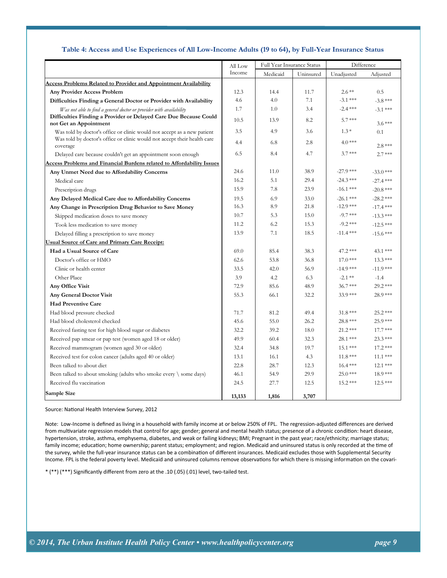#### **Table 4: Access and Use Experiences of All Low-Income Adults (19 to 64), by Full-Year Insurance Status**

|                                                                                             | All Low | <b>Full Year Insurance Status</b> |           | Difference  |             |  |
|---------------------------------------------------------------------------------------------|---------|-----------------------------------|-----------|-------------|-------------|--|
|                                                                                             | Income  | Medicaid                          | Uninsured | Unadjusted  | Adjusted    |  |
| <b>Access Problems Related to Provider and Appointment Availability</b>                     |         |                                   |           |             |             |  |
| Any Provider Access Problem                                                                 | 12.3    | 14.4                              | 11.7      | $2.6**$     | 0.5         |  |
| Difficulties Finding a General Doctor or Provider with Availability                         | 4.6     | 4.0                               | 7.1       | $-3.1$ ***  | $-3.8$ ***  |  |
| Was not able to find a general doctor or provider with availability                         | 1.7     | 1.0                               | 3.4       | $-2.4$ ***  | $-3.1$ ***  |  |
| Difficulties Finding a Provider or Delayed Care Due Because Could<br>not Get an Appointment | 10.5    | 13.9                              | 8.2       | $5.7***$    | $3.6***$    |  |
| Was told by doctor's office or clinic would not accept as a new patient                     | 3.5     | 4.9                               | 3.6       | $1.3*$      | 0.1         |  |
| Was told by doctor's office or clinic would not accept their health care<br>coverage        | 4.4     | 6.8                               | 2.8       | $4.0***$    | $2.8***$    |  |
| Delayed care because couldn't get an appointment soon enough                                | 6.5     | 8.4                               | 4.7       | $3.7***$    | $2.7***$    |  |
| <b>Access Problems and Financial Burdens related to Affordability Issues</b>                |         |                                   |           |             |             |  |
| Any Unmet Need due to Affordability Concerns                                                | 24.6    | 11.0                              | 38.9      | $-27.9$ *** | $-33.0$ *** |  |
| Medical care                                                                                | 16.2    | 5.1                               | 29.4      | $-24.3$ *** | $-27.4$ *** |  |
| Prescription drugs                                                                          | 15.9    | 7.8                               | 23.9      | $-16.1$ *** | $-20.8$ *** |  |
| Any Delayed Medical Care due to Affordability Concerns                                      | 19.5    | 6.9                               | 33.0      | $-26.1$ *** | $-28.2$ *** |  |
| Any Change in Prescription Drug Behavior to Save Money                                      | 16.3    | 8.9                               | 21.8      | $-12.9$ *** | $-17.4$ *** |  |
| Skipped medication doses to save money                                                      | 10.7    | 5.3                               | 15.0      | $-9.7$ ***  | $-13.3$ *** |  |
| Took less medication to save money                                                          | 11.2    | 6.2                               | 15.3      | $-9.2$ ***  | $-12.5$ *** |  |
| Delayed filling a prescription to save money                                                | 13.9    | 7.1                               | 18.5      | $-11.4$ *** | $-15.6$ *** |  |
| <b>Usual Source of Care and Primary Care Receipt:</b>                                       |         |                                   |           |             |             |  |
| Had a Usual Source of Care                                                                  | 69.0    | 85.4                              | 38.3      | 47.2 ***    | 43.1 ***    |  |
| Doctor's office or HMO                                                                      | 62.6    | 53.8                              | 36.8      | $17.0***$   | $13.3***$   |  |
| Clinic or health center                                                                     | 33.5    | 42.0                              | 56.9      | $-14.9$ *** | $-11.9$ *** |  |
| Other Place                                                                                 | 3.9     | 4.2                               | 6.3       | $-2.1$ **   | $-1.4$      |  |
| Any Office Visit                                                                            | 72.9    | 85.6                              | 48.9      | $36.7***$   | $29.2$ ***  |  |
| <b>Any General Doctor Visit</b>                                                             | 55.3    | 66.1                              | 32.2      | $33.9***$   | 28.9 ***    |  |
| <b>Had Preventive Care</b>                                                                  |         |                                   |           |             |             |  |
| Had blood pressure checked                                                                  | 71.7    | 81.2                              | 49.4      | $31.8***$   | $25.2$ ***  |  |
| Had blood cholesterol checked                                                               | 45.6    | 55.0                              | 26.2      | 28.8 ***    | $25.9***$   |  |
| Received fasting test for high blood sugar or diabetes                                      | 32.2    | 39.2                              | 18.0      | $21.2***$   | $17.7***$   |  |
| Received pap smear or pap test (women aged 18 or older)                                     | 49.9    | 60.4                              | 32.3      | 28.1 ***    | $23.3$ ***  |  |
| Received mammogram (women aged 30 or older)                                                 | 32.4    | 34.8                              | 19.7      | $15.1***$   | $17.2$ ***  |  |
| Received test for colon cancer (adults aged 40 or older)                                    | 13.1    | 16.1                              | 4.3       | $11.8***$   | $11.1$ ***  |  |
| Been talked to about diet                                                                   | 22.8    | 28.7                              | 12.3      | $16.4***$   | $12.1$ ***  |  |
| Been talked to about smoking (adults who smoke every $\setminus$ some days)                 | 46.1    | 54.9                              | 29.9      | $25.0***$   | $18.9***$   |  |
| Received flu vaccination                                                                    | 24.5    | 27.7                              | 12.5      | $15.2***$   | $12.5***$   |  |
| Sample Size                                                                                 | 13,133  | 1,816                             | 3,707     |             |             |  |

Source: National Health Interview Survey, 2012

Note: Low-Income is defined as living in a household with family income at or below 250% of FPL. The regression-adjusted differences are derived from multivariate regression models that control for age; gender; general and mental health status; presence of a chronic condition: heart disease, hypertension, stroke, asthma, emphysema, diabetes, and weak or failing kidneys; BMI; Pregnant in the past year; race/ethnicity; marriage status; family income; education; home ownership; parent status; employment; and region. Medicaid and uninsured status is only recorded at the time of the survey, while the full-year insurance status can be a combination of different insurances. Medicaid excludes those with Supplemental Security Income. FPL is the federal poverty level. Medicaid and uninsured columns remove observations for which there is missing information on the covari

\* (\*\*) (\*\*\*) Significantly different from zero at the .10 (.05) (.01) level, two-tailed test.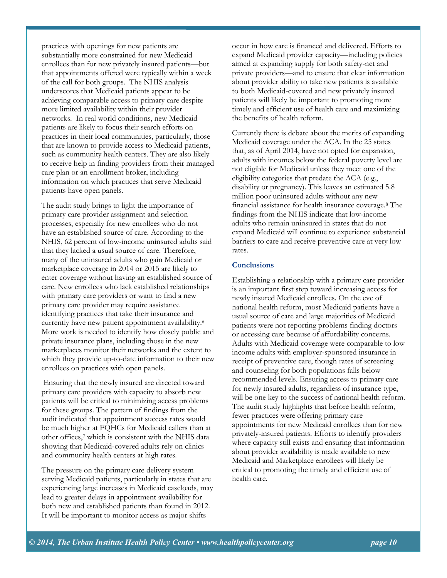practices with openings for new patients are substantially more constrained for new Medicaid enrollees than for new privately insured patients—but that appointments offered were typically within a week of the call for both groups. The NHIS analysis underscores that Medicaid patients appear to be achieving comparable access to primary care despite more limited availability within their provider networks. In real world conditions, new Medicaid patients are likely to focus their search efforts on practices in their local communities, particularly, those that are known to provide access to Medicaid patients, such as community health centers. They are also likely to receive help in finding providers from their managed care plan or an enrollment broker, including information on which practices that serve Medicaid patients have open panels.

The audit study brings to light the importance of primary care provider assignment and selection processes, especially for new enrollees who do not have an established source of care. According to the NHIS, 62 percent of low-income uninsured adults said that they lacked a usual source of care. Therefore, many of the uninsured adults who gain Medicaid or marketplace coverage in 2014 or 2015 are likely to enter coverage without having an established source of care. New enrollees who lack established relationships with primary care providers or want to find a new primary care provider may require assistance identifying practices that take their insurance and currently have new patient appointment availability.<sup>6</sup> More work is needed to identify how closely public and private insurance plans, including those in the new marketplaces monitor their networks and the extent to which they provide up-to-date information to their new enrollees on practices with open panels.

Ensuring that the newly insured are directed toward primary care providers with capacity to absorb new patients will be critical to minimizing access problems for these groups. The pattern of findings from the audit indicated that appointment success rates would be much higher at FQHCs for Medicaid callers than at other offices,<sup>7</sup> which is consistent with the NHIS data showing that Medicaid-covered adults rely on clinics and community health centers at high rates.

The pressure on the primary care delivery system serving Medicaid patients, particularly in states that are experiencing large increases in Medicaid caseloads, may lead to greater delays in appointment availability for both new and established patients than found in 2012. It will be important to monitor access as major shifts

occur in how care is financed and delivered. Efforts to expand Medicaid provider capacity—including policies aimed at expanding supply for both safety-net and private providers—and to ensure that clear information about provider ability to take new patients is available to both Medicaid-covered and new privately insured patients will likely be important to promoting more timely and efficient use of health care and maximizing the benefits of health reform.

Currently there is debate about the merits of expanding Medicaid coverage under the ACA. In the 25 states that, as of April 2014, have not opted for expansion, adults with incomes below the federal poverty level are not eligible for Medicaid unless they meet one of the eligibility categories that predate the ACA (e.g., disability or pregnancy). This leaves an estimated 5.8 million poor uninsured adults without any new financial assistance for health insurance coverage.<sup>8</sup> The findings from the NHIS indicate that low-income adults who remain uninsured in states that do not expand Medicaid will continue to experience substantial barriers to care and receive preventive care at very low rates.

### **Conclusions**

Establishing a relationship with a primary care provider is an important first step toward increasing access for newly insured Medicaid enrollees. On the eve of national health reform, most Medicaid patients have a usual source of care and large majorities of Medicaid patients were not reporting problems finding doctors or accessing care because of affordability concerns. Adults with Medicaid coverage were comparable to low income adults with employer-sponsored insurance in receipt of preventive care, though rates of screening and counseling for both populations falls below recommended levels. Ensuring access to primary care for newly insured adults, regardless of insurance type, will be one key to the success of national health reform. The audit study highlights that before health reform, fewer practices were offering primary care appointments for new Medicaid enrollees than for new privately-insured patients. Efforts to identify providers where capacity still exists and ensuring that information about provider availability is made available to new Medicaid and Marketplace enrollees will likely be critical to promoting the timely and efficient use of health care.